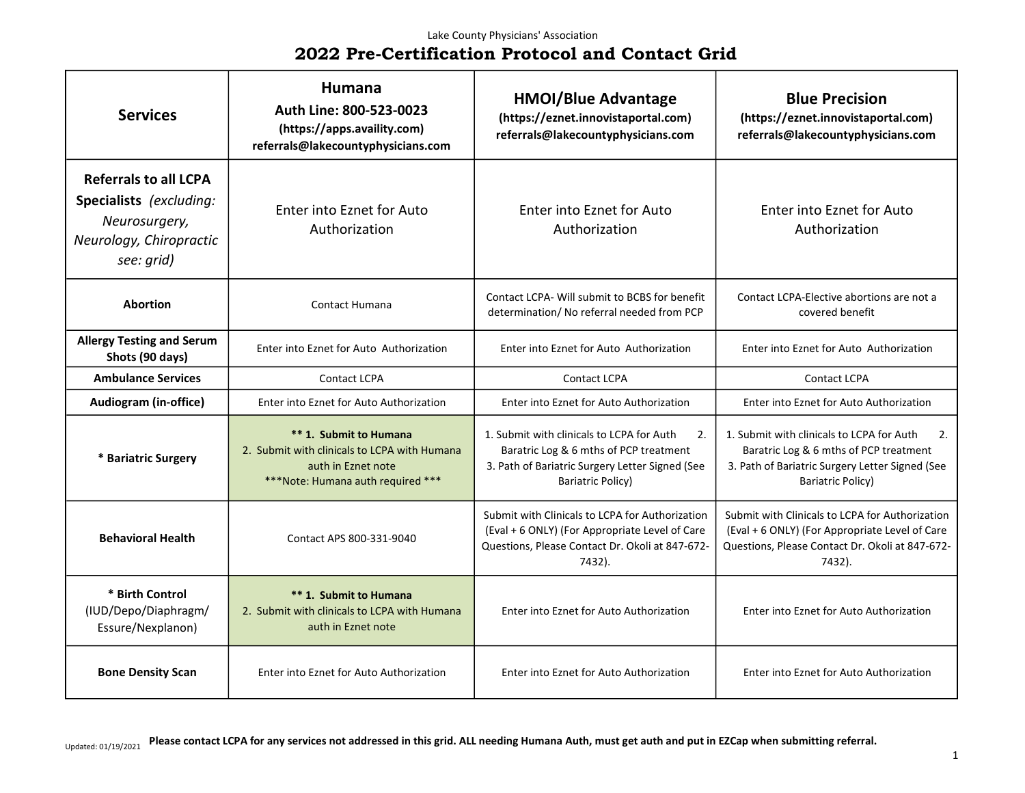| <b>Services</b>                                                                                                   | Humana<br>Auth Line: 800-523-0023<br>(https://apps.availity.com)<br>referrals@lakecountyphysicians.com                            | <b>HMOI/Blue Advantage</b><br>(https://eznet.innovistaportal.com)<br>referrals@lakecountyphysicians.com                                                                  | <b>Blue Precision</b><br>(https://eznet.innovistaportal.com)<br>referrals@lakecountyphysicians.com                                                                |
|-------------------------------------------------------------------------------------------------------------------|-----------------------------------------------------------------------------------------------------------------------------------|--------------------------------------------------------------------------------------------------------------------------------------------------------------------------|-------------------------------------------------------------------------------------------------------------------------------------------------------------------|
| <b>Referrals to all LCPA</b><br>Specialists (excluding:<br>Neurosurgery,<br>Neurology, Chiropractic<br>see: grid) | Enter into Eznet for Auto<br>Authorization                                                                                        | <b>Enter into Eznet for Auto</b><br>Authorization                                                                                                                        | <b>Enter into Eznet for Auto</b><br>Authorization                                                                                                                 |
| <b>Abortion</b>                                                                                                   | <b>Contact Humana</b>                                                                                                             | Contact LCPA- Will submit to BCBS for benefit<br>determination/No referral needed from PCP                                                                               | Contact LCPA-Elective abortions are not a<br>covered benefit                                                                                                      |
| <b>Allergy Testing and Serum</b><br>Shots (90 days)                                                               | Enter into Eznet for Auto Authorization                                                                                           | Enter into Eznet for Auto Authorization                                                                                                                                  | Enter into Eznet for Auto Authorization                                                                                                                           |
| <b>Ambulance Services</b>                                                                                         | Contact LCPA                                                                                                                      | <b>Contact LCPA</b>                                                                                                                                                      | <b>Contact LCPA</b>                                                                                                                                               |
| Audiogram (in-office)                                                                                             | Enter into Eznet for Auto Authorization                                                                                           | Enter into Eznet for Auto Authorization                                                                                                                                  | Enter into Eznet for Auto Authorization                                                                                                                           |
| * Bariatric Surgery                                                                                               | ** 1. Submit to Humana<br>2. Submit with clinicals to LCPA with Humana<br>auth in Eznet note<br>***Note: Humana auth required *** | 1. Submit with clinicals to LCPA for Auth<br>2.<br>Baratric Log & 6 mths of PCP treatment<br>3. Path of Bariatric Surgery Letter Signed (See<br><b>Bariatric Policy)</b> | 1. Submit with clinicals to LCPA for Auth<br>2.<br>Baratric Log & 6 mths of PCP treatment<br>3. Path of Bariatric Surgery Letter Signed (See<br>Bariatric Policy) |
| <b>Behavioral Health</b>                                                                                          | Contact APS 800-331-9040                                                                                                          | Submit with Clinicals to LCPA for Authorization<br>(Eval + 6 ONLY) (For Appropriate Level of Care<br>Questions, Please Contact Dr. Okoli at 847-672-<br>7432).           | Submit with Clinicals to LCPA for Authorization<br>(Eval + 6 ONLY) (For Appropriate Level of Care<br>Questions, Please Contact Dr. Okoli at 847-672-<br>7432).    |
| * Birth Control<br>(IUD/Depo/Diaphragm/<br>Essure/Nexplanon)                                                      | ** 1. Submit to Humana<br>2. Submit with clinicals to LCPA with Humana<br>auth in Eznet note                                      | Enter into Eznet for Auto Authorization                                                                                                                                  | Enter into Eznet for Auto Authorization                                                                                                                           |
| <b>Bone Density Scan</b>                                                                                          | Enter into Eznet for Auto Authorization                                                                                           | Enter into Eznet for Auto Authorization                                                                                                                                  | Enter into Eznet for Auto Authorization                                                                                                                           |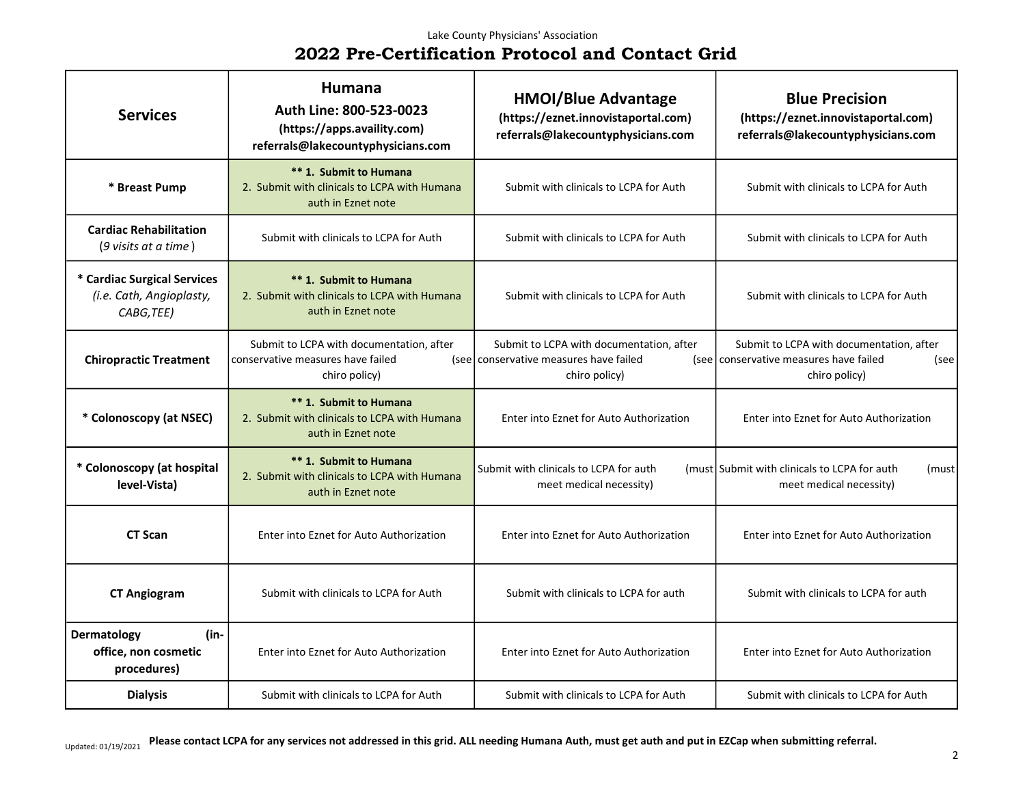### Lake County Physicians' Association

# 2022 Pre-Certification Protocol and Contact Grid

| <b>Services</b>                                                       | Humana<br>Auth Line: 800-523-0023<br>(https://apps.availity.com)<br>referrals@lakecountyphysicians.com | <b>HMOI/Blue Advantage</b><br>(https://eznet.innovistaportal.com)<br>referrals@lakecountyphysicians.com | <b>Blue Precision</b><br>(https://eznet.innovistaportal.com)<br>referrals@lakecountyphysicians.com          |
|-----------------------------------------------------------------------|--------------------------------------------------------------------------------------------------------|---------------------------------------------------------------------------------------------------------|-------------------------------------------------------------------------------------------------------------|
| * Breast Pump                                                         | ** 1. Submit to Humana<br>2. Submit with clinicals to LCPA with Humana<br>auth in Eznet note           | Submit with clinicals to LCPA for Auth                                                                  | Submit with clinicals to LCPA for Auth                                                                      |
| <b>Cardiac Rehabilitation</b><br>(9 visits at a time)                 | Submit with clinicals to LCPA for Auth                                                                 | Submit with clinicals to LCPA for Auth                                                                  | Submit with clinicals to LCPA for Auth                                                                      |
| * Cardiac Surgical Services<br>(i.e. Cath, Angioplasty,<br>CABG, TEE) | ** 1. Submit to Humana<br>2. Submit with clinicals to LCPA with Humana<br>auth in Eznet note           | Submit with clinicals to LCPA for Auth                                                                  | Submit with clinicals to LCPA for Auth                                                                      |
| <b>Chiropractic Treatment</b>                                         | Submit to LCPA with documentation, after<br>conservative measures have failed<br>chiro policy)         | Submit to LCPA with documentation, after<br>(see) conservative measures have failed<br>chiro policy)    | Submit to LCPA with documentation, after<br>(see conservative measures have failed<br>(see<br>chiro policy) |
| * Colonoscopy (at NSEC)                                               | ** 1. Submit to Humana<br>2. Submit with clinicals to LCPA with Humana<br>auth in Eznet note           | Enter into Eznet for Auto Authorization                                                                 | Enter into Eznet for Auto Authorization                                                                     |
| * Colonoscopy (at hospital<br>level-Vista)                            | ** 1. Submit to Humana<br>2. Submit with clinicals to LCPA with Humana<br>auth in Eznet note           | Submit with clinicals to LCPA for auth<br>meet medical necessity)                                       | (must Submit with clinicals to LCPA for auth)<br>(must<br>meet medical necessity)                           |
| <b>CT Scan</b>                                                        | Enter into Eznet for Auto Authorization                                                                | Enter into Eznet for Auto Authorization                                                                 | Enter into Eznet for Auto Authorization                                                                     |
| <b>CT Angiogram</b>                                                   | Submit with clinicals to LCPA for Auth                                                                 | Submit with clinicals to LCPA for auth                                                                  | Submit with clinicals to LCPA for auth                                                                      |
| Dermatology<br>(in-<br>office, non cosmetic<br>procedures)            | Enter into Eznet for Auto Authorization                                                                | Enter into Eznet for Auto Authorization                                                                 | Enter into Eznet for Auto Authorization                                                                     |
| <b>Dialysis</b>                                                       | Submit with clinicals to LCPA for Auth                                                                 | Submit with clinicals to LCPA for Auth                                                                  | Submit with clinicals to LCPA for Auth                                                                      |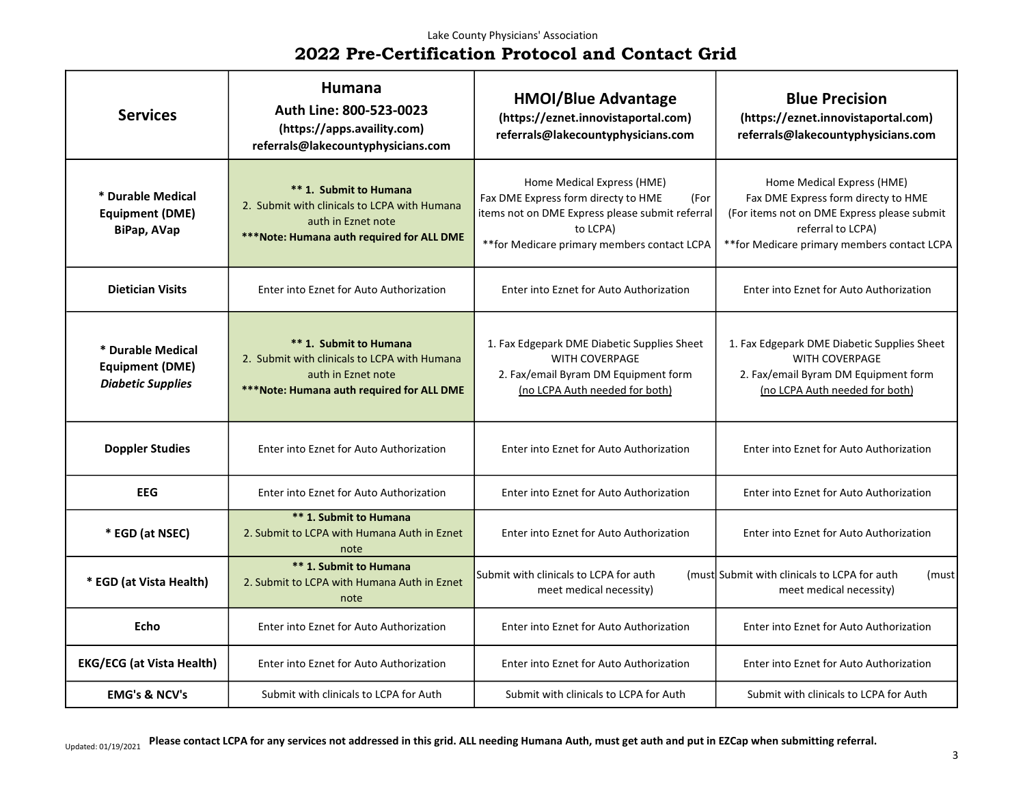| <b>Services</b>                                                         | Humana<br>Auth Line: 800-523-0023<br>(https://apps.availity.com)<br>referrals@lakecountyphysicians.com                                     | <b>HMOI/Blue Advantage</b><br>(https://eznet.innovistaportal.com)<br>referrals@lakecountyphysicians.com                                                                                  | <b>Blue Precision</b><br>(https://eznet.innovistaportal.com)<br>referrals@lakecountyphysicians.com                                                                                    |
|-------------------------------------------------------------------------|--------------------------------------------------------------------------------------------------------------------------------------------|------------------------------------------------------------------------------------------------------------------------------------------------------------------------------------------|---------------------------------------------------------------------------------------------------------------------------------------------------------------------------------------|
| * Durable Medical<br><b>Equipment (DME)</b><br>BiPap, AVap              | ** 1. Submit to Humana<br>2. Submit with clinicals to LCPA with Humana<br>auth in Eznet note<br>***Note: Humana auth required for ALL DME  | Home Medical Express (HME)<br>Fax DME Express form directy to HME<br>(For<br>items not on DME Express please submit referral<br>to LCPA)<br>** for Medicare primary members contact LCPA | Home Medical Express (HME)<br>Fax DME Express form directy to HME<br>(For items not on DME Express please submit<br>referral to LCPA)<br>** for Medicare primary members contact LCPA |
| <b>Dietician Visits</b>                                                 | Enter into Eznet for Auto Authorization                                                                                                    | Enter into Eznet for Auto Authorization                                                                                                                                                  | Enter into Eznet for Auto Authorization                                                                                                                                               |
| * Durable Medical<br><b>Equipment (DME)</b><br><b>Diabetic Supplies</b> | ** 1. Submit to Humana<br>2. Submit with clinicals to LCPA with Humana<br>auth in Eznet note<br>*** Note: Humana auth required for ALL DME | 1. Fax Edgepark DME Diabetic Supplies Sheet<br><b>WITH COVERPAGE</b><br>2. Fax/email Byram DM Equipment form<br>(no LCPA Auth needed for both)                                           | 1. Fax Edgepark DME Diabetic Supplies Sheet<br>WITH COVERPAGE<br>2. Fax/email Byram DM Equipment form<br>(no LCPA Auth needed for both)                                               |
| <b>Doppler Studies</b>                                                  | Enter into Eznet for Auto Authorization                                                                                                    | Enter into Eznet for Auto Authorization                                                                                                                                                  | Enter into Eznet for Auto Authorization                                                                                                                                               |
| <b>EEG</b>                                                              | Enter into Eznet for Auto Authorization                                                                                                    | Enter into Eznet for Auto Authorization                                                                                                                                                  | Enter into Eznet for Auto Authorization                                                                                                                                               |
| * EGD (at NSEC)                                                         | ** 1. Submit to Humana<br>2. Submit to LCPA with Humana Auth in Eznet<br>note                                                              | Enter into Eznet for Auto Authorization                                                                                                                                                  | Enter into Eznet for Auto Authorization                                                                                                                                               |
| * EGD (at Vista Health)                                                 | <b>** 1. Submit to Humana</b><br>2. Submit to LCPA with Humana Auth in Eznet<br>note                                                       | Submit with clinicals to LCPA for auth<br>meet medical necessity)                                                                                                                        | (must Submit with clinicals to LCPA for auth)<br>(must<br>meet medical necessity)                                                                                                     |
| <b>Echo</b>                                                             | Enter into Eznet for Auto Authorization                                                                                                    | Enter into Eznet for Auto Authorization                                                                                                                                                  | Enter into Eznet for Auto Authorization                                                                                                                                               |
| <b>EKG/ECG (at Vista Health)</b>                                        | Enter into Eznet for Auto Authorization                                                                                                    | Enter into Eznet for Auto Authorization                                                                                                                                                  | Enter into Eznet for Auto Authorization                                                                                                                                               |
| <b>EMG's &amp; NCV's</b>                                                | Submit with clinicals to LCPA for Auth                                                                                                     | Submit with clinicals to LCPA for Auth                                                                                                                                                   | Submit with clinicals to LCPA for Auth                                                                                                                                                |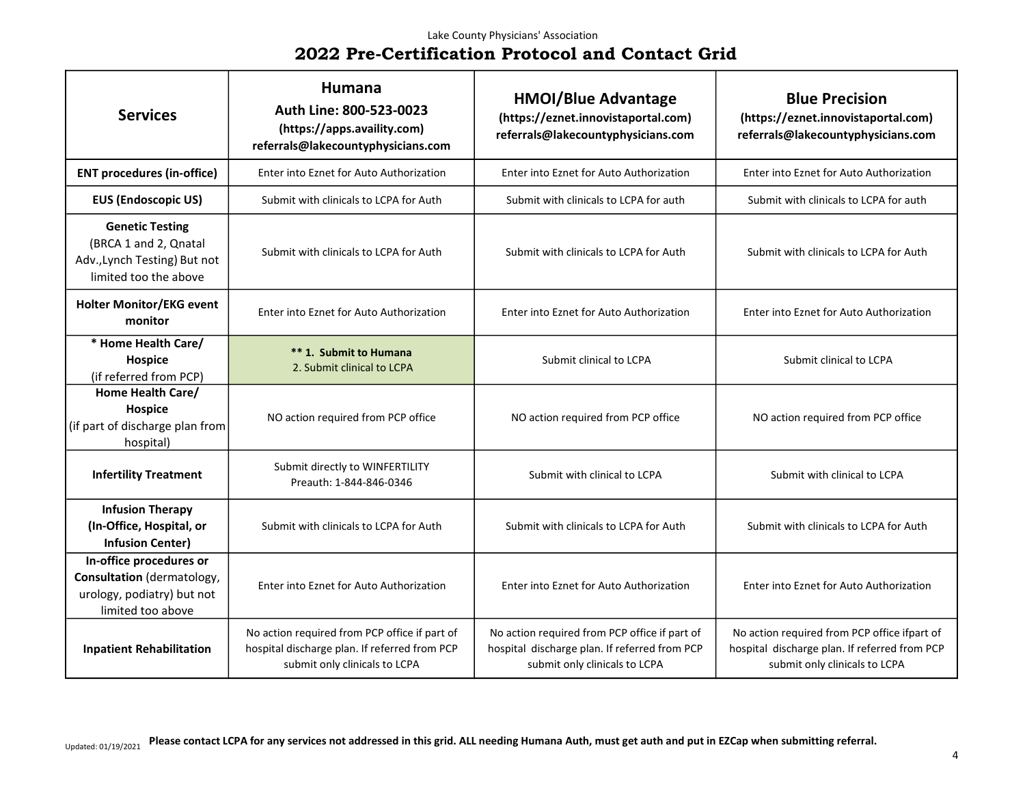| <b>Services</b>                                                                                          | Humana<br>Auth Line: 800-523-0023<br>(https://apps.availity.com)<br>referrals@lakecountyphysicians.com                          | <b>HMOI/Blue Advantage</b><br>(https://eznet.innovistaportal.com)<br>referrals@lakecountyphysicians.com                         | <b>Blue Precision</b><br>(https://eznet.innovistaportal.com)<br>referrals@lakecountyphysicians.com                             |
|----------------------------------------------------------------------------------------------------------|---------------------------------------------------------------------------------------------------------------------------------|---------------------------------------------------------------------------------------------------------------------------------|--------------------------------------------------------------------------------------------------------------------------------|
| <b>ENT procedures (in-office)</b>                                                                        | Enter into Eznet for Auto Authorization                                                                                         | Enter into Eznet for Auto Authorization                                                                                         | Enter into Eznet for Auto Authorization                                                                                        |
| <b>EUS (Endoscopic US)</b>                                                                               | Submit with clinicals to LCPA for Auth                                                                                          | Submit with clinicals to LCPA for auth                                                                                          | Submit with clinicals to LCPA for auth                                                                                         |
| <b>Genetic Testing</b><br>(BRCA 1 and 2, Qnatal<br>Adv., Lynch Testing) But not<br>limited too the above | Submit with clinicals to LCPA for Auth                                                                                          | Submit with clinicals to LCPA for Auth                                                                                          | Submit with clinicals to LCPA for Auth                                                                                         |
| <b>Holter Monitor/EKG event</b><br>monitor                                                               | Enter into Eznet for Auto Authorization                                                                                         | Enter into Eznet for Auto Authorization                                                                                         | Enter into Eznet for Auto Authorization                                                                                        |
| * Home Health Care/<br>Hospice<br>(if referred from PCP)                                                 | ** 1. Submit to Humana<br>2. Submit clinical to LCPA                                                                            | Submit clinical to LCPA                                                                                                         | Submit clinical to LCPA                                                                                                        |
| Home Health Care/<br>Hospice<br>(if part of discharge plan from<br>hospital)                             | NO action required from PCP office                                                                                              | NO action required from PCP office                                                                                              | NO action required from PCP office                                                                                             |
| <b>Infertility Treatment</b>                                                                             | Submit directly to WINFERTILITY<br>Preauth: 1-844-846-0346                                                                      | Submit with clinical to LCPA                                                                                                    | Submit with clinical to LCPA                                                                                                   |
| <b>Infusion Therapy</b><br>(In-Office, Hospital, or<br><b>Infusion Center)</b>                           | Submit with clinicals to LCPA for Auth                                                                                          | Submit with clinicals to LCPA for Auth                                                                                          | Submit with clinicals to LCPA for Auth                                                                                         |
| In-office procedures or<br>Consultation (dermatology,<br>urology, podiatry) but not<br>limited too above | Enter into Eznet for Auto Authorization                                                                                         | Enter into Eznet for Auto Authorization                                                                                         | Enter into Eznet for Auto Authorization                                                                                        |
| <b>Inpatient Rehabilitation</b>                                                                          | No action required from PCP office if part of<br>hospital discharge plan. If referred from PCP<br>submit only clinicals to LCPA | No action required from PCP office if part of<br>hospital discharge plan. If referred from PCP<br>submit only clinicals to LCPA | No action required from PCP office ifpart of<br>hospital discharge plan. If referred from PCP<br>submit only clinicals to LCPA |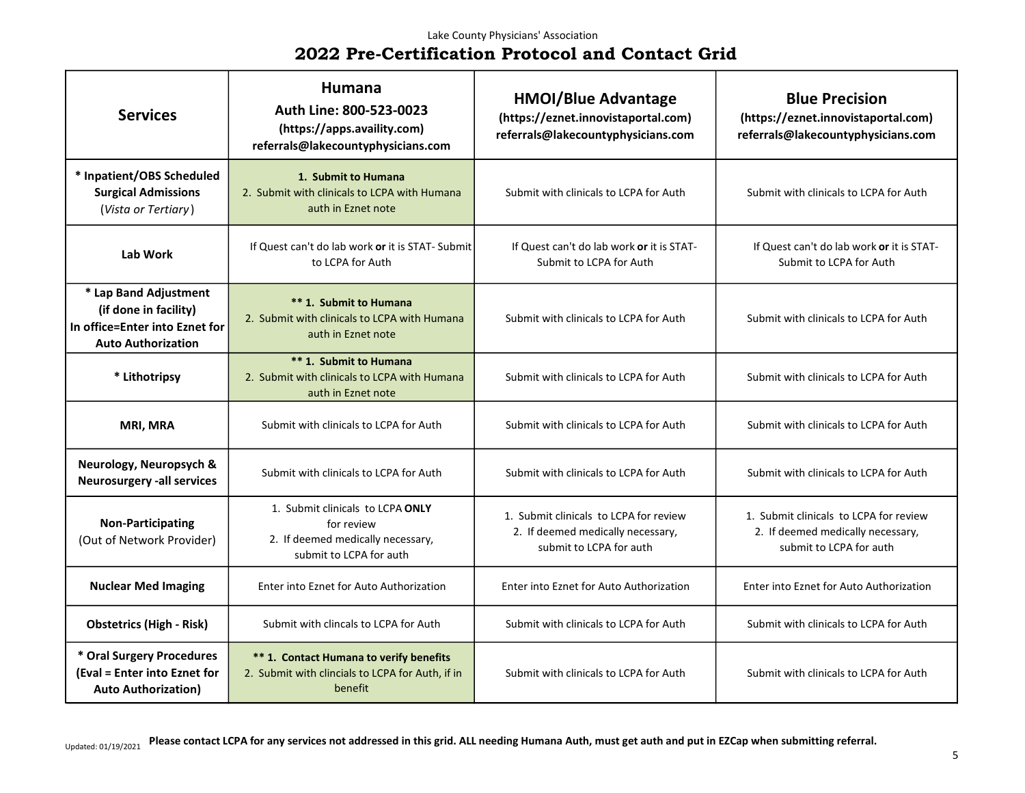| <b>Services</b>                                                                                               | <b>Humana</b><br>Auth Line: 800-523-0023<br>(https://apps.availity.com)<br>referrals@lakecountyphysicians.com  | <b>HMOI/Blue Advantage</b><br>(https://eznet.innovistaportal.com)<br>referrals@lakecountyphysicians.com | <b>Blue Precision</b><br>(https://eznet.innovistaportal.com)<br>referrals@lakecountyphysicians.com     |
|---------------------------------------------------------------------------------------------------------------|----------------------------------------------------------------------------------------------------------------|---------------------------------------------------------------------------------------------------------|--------------------------------------------------------------------------------------------------------|
| * Inpatient/OBS Scheduled<br><b>Surgical Admissions</b><br>(Vista or Tertiary)                                | 1. Submit to Humana<br>2. Submit with clinicals to LCPA with Humana<br>auth in Eznet note                      | Submit with clinicals to LCPA for Auth                                                                  | Submit with clinicals to LCPA for Auth                                                                 |
| Lab Work                                                                                                      | If Quest can't do lab work or it is STAT- Submit<br>to LCPA for Auth                                           | If Quest can't do lab work or it is STAT-<br>Submit to LCPA for Auth                                    | If Quest can't do lab work or it is STAT-<br>Submit to LCPA for Auth                                   |
| * Lap Band Adjustment<br>(if done in facility)<br>In office=Enter into Eznet for<br><b>Auto Authorization</b> | ** 1. Submit to Humana<br>2. Submit with clinicals to LCPA with Humana<br>auth in Eznet note                   | Submit with clinicals to LCPA for Auth                                                                  | Submit with clinicals to LCPA for Auth                                                                 |
| * Lithotripsy                                                                                                 | ** 1. Submit to Humana<br>2. Submit with clinicals to LCPA with Humana<br>auth in Eznet note                   | Submit with clinicals to LCPA for Auth                                                                  | Submit with clinicals to LCPA for Auth                                                                 |
| MRI, MRA                                                                                                      | Submit with clinicals to LCPA for Auth                                                                         | Submit with clinicals to LCPA for Auth                                                                  | Submit with clinicals to LCPA for Auth                                                                 |
| Neurology, Neuropsych &<br><b>Neurosurgery -all services</b>                                                  | Submit with clinicals to LCPA for Auth                                                                         | Submit with clinicals to LCPA for Auth                                                                  | Submit with clinicals to LCPA for Auth                                                                 |
| <b>Non-Participating</b><br>(Out of Network Provider)                                                         | 1. Submit clinicals to LCPA ONLY<br>for review<br>2. If deemed medically necessary,<br>submit to LCPA for auth | 1. Submit clinicals to LCPA for review<br>2. If deemed medically necessary,<br>submit to LCPA for auth  | 1. Submit clinicals to LCPA for review<br>2. If deemed medically necessary,<br>submit to LCPA for auth |
| <b>Nuclear Med Imaging</b>                                                                                    | Enter into Eznet for Auto Authorization                                                                        | Enter into Eznet for Auto Authorization                                                                 | Enter into Eznet for Auto Authorization                                                                |
| <b>Obstetrics (High - Risk)</b>                                                                               | Submit with clincals to LCPA for Auth                                                                          | Submit with clinicals to LCPA for Auth                                                                  | Submit with clinicals to LCPA for Auth                                                                 |
| * Oral Surgery Procedures<br>(Eval = Enter into Eznet for<br><b>Auto Authorization)</b>                       | ** 1. Contact Humana to verify benefits<br>2. Submit with clincials to LCPA for Auth, if in<br>benefit         | Submit with clinicals to LCPA for Auth                                                                  | Submit with clinicals to LCPA for Auth                                                                 |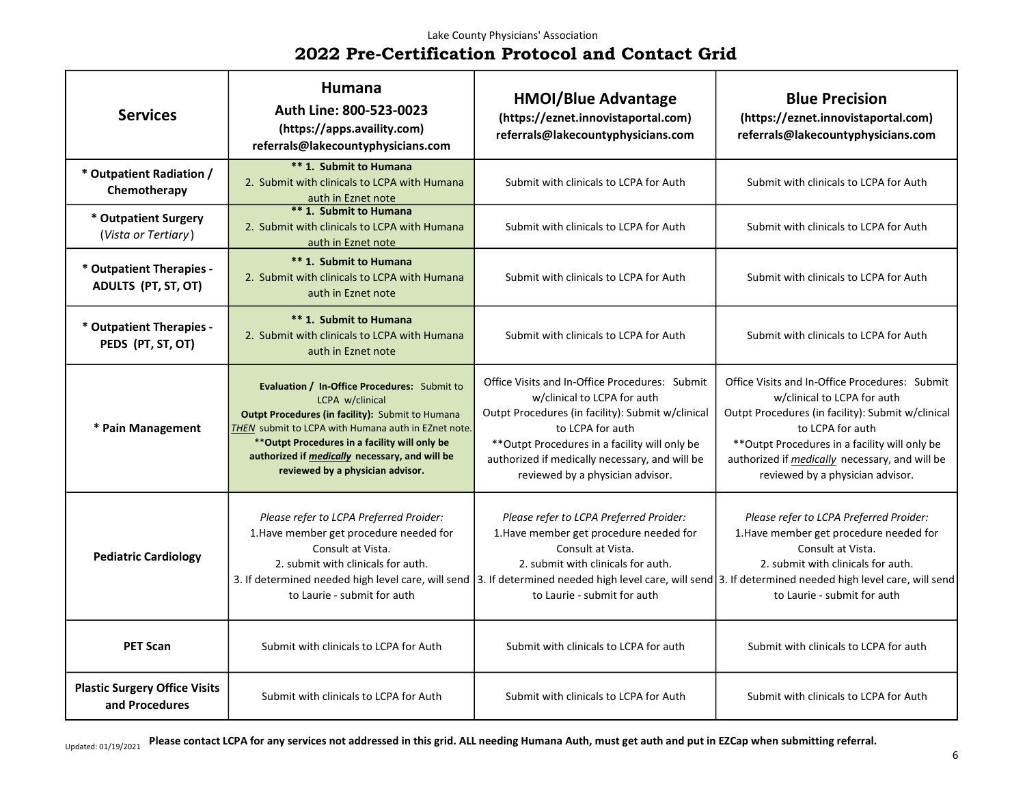#### Lake County Physicians' Association

# 2022 Pre-Certification Protocol and Contact Grid

| <b>Services</b>                                        | Humana<br>Auth Line: 800-523-0023<br>(https://apps.availity.com)<br>referrals@lakecountyphysicians.com                                                                                                                                                                                                                                       | <b>HMOI/Blue Advantage</b><br>(https://eznet.innovistaportal.com)<br>referrals@lakecountyphysicians.com                                                                                                                                                                                        | <b>Blue Precision</b><br>(https://eznet.innovistaportal.com)<br>referrals@lakecountyphysicians.com                                                                                                                                                                                                    |
|--------------------------------------------------------|----------------------------------------------------------------------------------------------------------------------------------------------------------------------------------------------------------------------------------------------------------------------------------------------------------------------------------------------|------------------------------------------------------------------------------------------------------------------------------------------------------------------------------------------------------------------------------------------------------------------------------------------------|-------------------------------------------------------------------------------------------------------------------------------------------------------------------------------------------------------------------------------------------------------------------------------------------------------|
| * Outpatient Radiation /<br>Chemotherapy               | ** 1. Submit to Humana<br>2. Submit with clinicals to LCPA with Humana<br>auth in Eznet note                                                                                                                                                                                                                                                 | Submit with clinicals to LCPA for Auth                                                                                                                                                                                                                                                         | Submit with clinicals to LCPA for Auth                                                                                                                                                                                                                                                                |
| * Outpatient Surgery<br>(Vista or Tertiary)            | ** 1. Submit to Humana<br>2. Submit with clinicals to LCPA with Humana<br>auth in Eznet note                                                                                                                                                                                                                                                 | Submit with clinicals to LCPA for Auth                                                                                                                                                                                                                                                         | Submit with clinicals to LCPA for Auth                                                                                                                                                                                                                                                                |
| * Outpatient Therapies -<br>ADULTS (PT, ST, OT)        | ** 1. Submit to Humana<br>2. Submit with clinicals to LCPA with Humana<br>auth in Eznet note                                                                                                                                                                                                                                                 | Submit with clinicals to LCPA for Auth                                                                                                                                                                                                                                                         | Submit with clinicals to LCPA for Auth                                                                                                                                                                                                                                                                |
| * Outpatient Therapies -<br>PEDS (PT, ST, OT)          | ** 1. Submit to Humana<br>2. Submit with clinicals to LCPA with Humana<br>auth in Eznet note                                                                                                                                                                                                                                                 | Submit with clinicals to LCPA for Auth                                                                                                                                                                                                                                                         | Submit with clinicals to LCPA for Auth                                                                                                                                                                                                                                                                |
| * Pain Management                                      | Evaluation / In-Office Procedures: Submit to<br>LCPA w/clinical<br>Outpt Procedures (in facility): Submit to Humana<br>THEN submit to LCPA with Humana auth in EZnet note.<br>** Outpt Procedures in a facility will only be<br>authorized if medically necessary, and will be<br>reviewed by a physician advisor.                           | Office Visits and In-Office Procedures: Submit<br>w/clinical to LCPA for auth<br>Outpt Procedures (in facility): Submit w/clinical<br>to LCPA for auth<br>** Outpt Procedures in a facility will only be<br>authorized if medically necessary, and will be<br>reviewed by a physician advisor. | Office Visits and In-Office Procedures: Submit<br>w/clinical to LCPA for auth<br>Outpt Procedures (in facility): Submit w/clinical<br>to LCPA for auth<br>** Outpt Procedures in a facility will only be<br>authorized if <i>medically</i> necessary, and will be<br>reviewed by a physician advisor. |
| <b>Pediatric Cardiology</b>                            | Please refer to LCPA Preferred Proider:<br>1. Have member get procedure needed for<br>Consult at Vista.<br>2. submit with clinicals for auth.<br>3. If determined needed high level care, will send   3. If determined needed high level care, will send   3. If determined needed high level care, will send<br>to Laurie - submit for auth | Please refer to LCPA Preferred Proider:<br>1. Have member get procedure needed for<br>Consult at Vista.<br>2. submit with clinicals for auth.<br>to Laurie - submit for auth                                                                                                                   | Please refer to LCPA Preferred Proider:<br>1. Have member get procedure needed for<br>Consult at Vista.<br>2. submit with clinicals for auth.<br>to Laurie - submit for auth                                                                                                                          |
| <b>PET Scan</b>                                        | Submit with clinicals to LCPA for Auth                                                                                                                                                                                                                                                                                                       | Submit with clinicals to LCPA for auth                                                                                                                                                                                                                                                         | Submit with clinicals to LCPA for auth                                                                                                                                                                                                                                                                |
| <b>Plastic Surgery Office Visits</b><br>and Procedures | Submit with clinicals to LCPA for Auth                                                                                                                                                                                                                                                                                                       | Submit with clinicals to LCPA for Auth                                                                                                                                                                                                                                                         | Submit with clinicals to LCPA for Auth                                                                                                                                                                                                                                                                |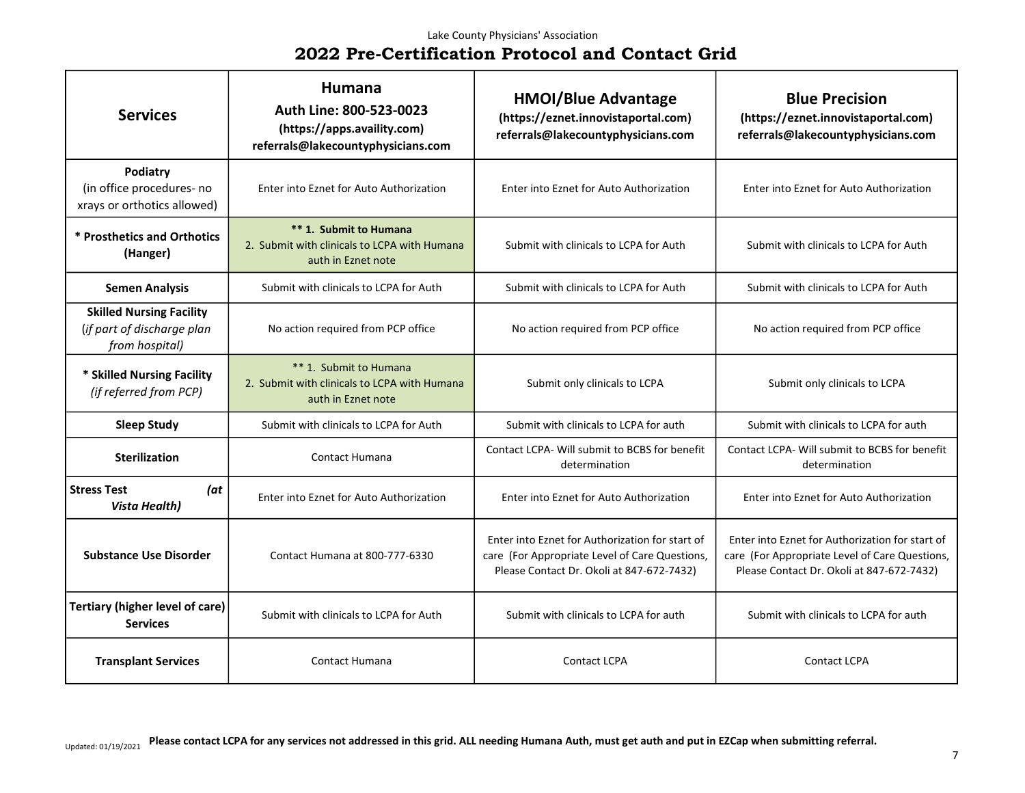### Lake County Physicians' Association

# 2022 Pre-Certification Protocol and Contact Grid

| <b>Services</b>                                                                 | <b>Humana</b><br>Auth Line: 800-523-0023<br>(https://apps.availity.com)<br>referrals@lakecountyphysicians.com | <b>HMOI/Blue Advantage</b><br>(https://eznet.innovistaportal.com)<br>referrals@lakecountyphysicians.com                                        | <b>Blue Precision</b><br>(https://eznet.innovistaportal.com)<br>referrals@lakecountyphysicians.com                                             |
|---------------------------------------------------------------------------------|---------------------------------------------------------------------------------------------------------------|------------------------------------------------------------------------------------------------------------------------------------------------|------------------------------------------------------------------------------------------------------------------------------------------------|
| Podiatry<br>(in office procedures- no<br>xrays or orthotics allowed)            | Enter into Eznet for Auto Authorization                                                                       | Enter into Eznet for Auto Authorization                                                                                                        | Enter into Eznet for Auto Authorization                                                                                                        |
| * Prosthetics and Orthotics<br>(Hanger)                                         | ** 1. Submit to Humana<br>2. Submit with clinicals to LCPA with Humana<br>auth in Eznet note                  | Submit with clinicals to LCPA for Auth                                                                                                         | Submit with clinicals to LCPA for Auth                                                                                                         |
| <b>Semen Analysis</b>                                                           | Submit with clinicals to LCPA for Auth                                                                        | Submit with clinicals to LCPA for Auth                                                                                                         | Submit with clinicals to LCPA for Auth                                                                                                         |
| <b>Skilled Nursing Facility</b><br>(if part of discharge plan<br>from hospital) | No action required from PCP office                                                                            | No action required from PCP office                                                                                                             | No action required from PCP office                                                                                                             |
| * Skilled Nursing Facility<br>(if referred from PCP)                            | ** 1. Submit to Humana<br>2. Submit with clinicals to LCPA with Humana<br>auth in Eznet note                  | Submit only clinicals to LCPA                                                                                                                  | Submit only clinicals to LCPA                                                                                                                  |
| <b>Sleep Study</b>                                                              | Submit with clinicals to LCPA for Auth                                                                        | Submit with clinicals to LCPA for auth                                                                                                         | Submit with clinicals to LCPA for auth                                                                                                         |
| <b>Sterilization</b>                                                            | <b>Contact Humana</b>                                                                                         | Contact LCPA- Will submit to BCBS for benefit<br>determination                                                                                 | Contact LCPA- Will submit to BCBS for benefit<br>determination                                                                                 |
| <b>Stress Test</b><br>(at<br><b>Vista Health)</b>                               | Enter into Eznet for Auto Authorization                                                                       | Enter into Eznet for Auto Authorization                                                                                                        | Enter into Eznet for Auto Authorization                                                                                                        |
| <b>Substance Use Disorder</b>                                                   | Contact Humana at 800-777-6330                                                                                | Enter into Eznet for Authorization for start of<br>care (For Appropriate Level of Care Questions,<br>Please Contact Dr. Okoli at 847-672-7432) | Enter into Eznet for Authorization for start of<br>care (For Appropriate Level of Care Questions,<br>Please Contact Dr. Okoli at 847-672-7432) |
| <b>Tertiary (higher level of care)</b><br><b>Services</b>                       | Submit with clinicals to LCPA for Auth                                                                        | Submit with clinicals to LCPA for auth                                                                                                         | Submit with clinicals to LCPA for auth                                                                                                         |
| <b>Transplant Services</b>                                                      | <b>Contact Humana</b>                                                                                         | <b>Contact LCPA</b>                                                                                                                            | <b>Contact LCPA</b>                                                                                                                            |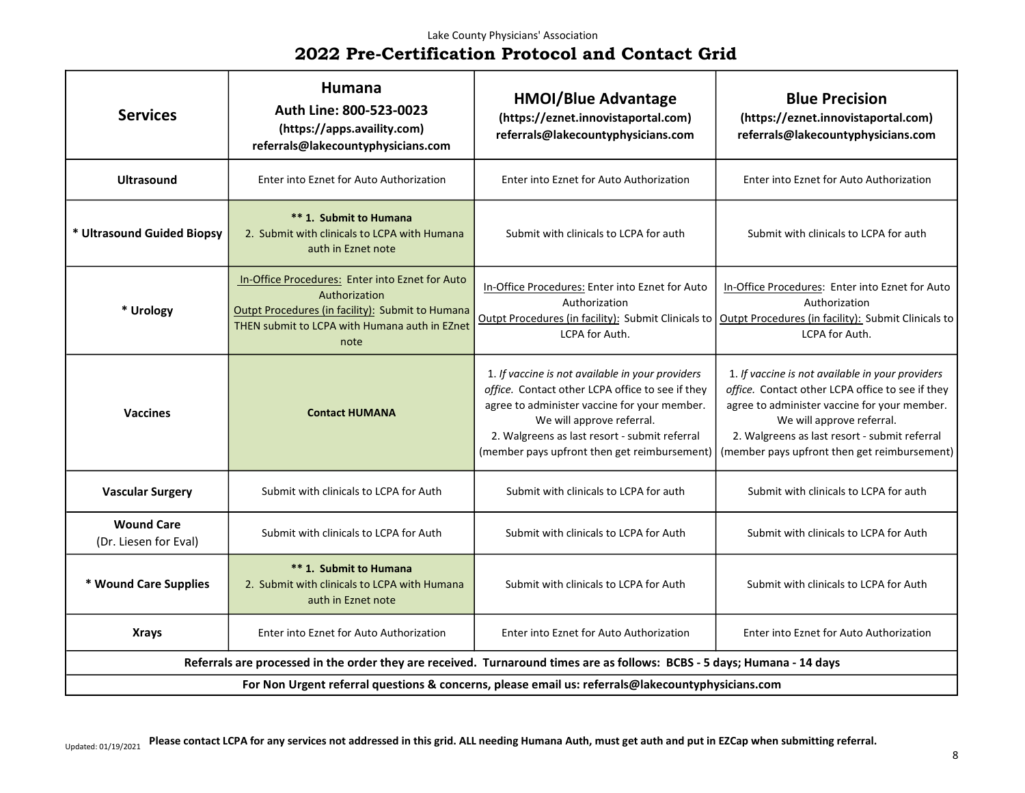| <b>Services</b>                                                                                                          | Humana<br>Auth Line: 800-523-0023<br>(https://apps.availity.com)<br>referrals@lakecountyphysicians.com                                                                        | <b>HMOI/Blue Advantage</b><br>(https://eznet.innovistaportal.com)<br>referrals@lakecountyphysicians.com                                                                                                                                                                            | <b>Blue Precision</b><br>(https://eznet.innovistaportal.com)<br>referrals@lakecountyphysicians.com                                                                                                                                                                                 |
|--------------------------------------------------------------------------------------------------------------------------|-------------------------------------------------------------------------------------------------------------------------------------------------------------------------------|------------------------------------------------------------------------------------------------------------------------------------------------------------------------------------------------------------------------------------------------------------------------------------|------------------------------------------------------------------------------------------------------------------------------------------------------------------------------------------------------------------------------------------------------------------------------------|
| <b>Ultrasound</b>                                                                                                        | Enter into Eznet for Auto Authorization                                                                                                                                       | Enter into Eznet for Auto Authorization                                                                                                                                                                                                                                            | Enter into Eznet for Auto Authorization                                                                                                                                                                                                                                            |
| * Ultrasound Guided Biopsy                                                                                               | ** 1. Submit to Humana<br>2. Submit with clinicals to LCPA with Humana<br>auth in Eznet note                                                                                  | Submit with clinicals to LCPA for auth                                                                                                                                                                                                                                             | Submit with clinicals to LCPA for auth                                                                                                                                                                                                                                             |
| * Urology                                                                                                                | In-Office Procedures: Enter into Eznet for Auto<br>Authorization<br>Outpt Procedures (in facility): Submit to Humana<br>THEN submit to LCPA with Humana auth in EZnet<br>note | In-Office Procedures: Enter into Eznet for Auto<br>Authorization<br>Outpt Procedures (in facility): Submit Clinicals to<br>LCPA for Auth.                                                                                                                                          | In-Office Procedures: Enter into Eznet for Auto<br>Authorization<br>Outpt Procedures (in facility): Submit Clinicals to<br>LCPA for Auth.                                                                                                                                          |
| <b>Vaccines</b>                                                                                                          | <b>Contact HUMANA</b>                                                                                                                                                         | 1. If vaccine is not available in your providers<br>office. Contact other LCPA office to see if they<br>agree to administer vaccine for your member.<br>We will approve referral.<br>2. Walgreens as last resort - submit referral<br>(member pays upfront then get reimbursement) | 1. If vaccine is not available in your providers<br>office. Contact other LCPA office to see if they<br>agree to administer vaccine for your member.<br>We will approve referral.<br>2. Walgreens as last resort - submit referral<br>(member pays upfront then get reimbursement) |
| <b>Vascular Surgery</b>                                                                                                  | Submit with clinicals to LCPA for Auth                                                                                                                                        | Submit with clinicals to LCPA for auth                                                                                                                                                                                                                                             | Submit with clinicals to LCPA for auth                                                                                                                                                                                                                                             |
| <b>Wound Care</b><br>(Dr. Liesen for Eval)                                                                               | Submit with clinicals to LCPA for Auth                                                                                                                                        | Submit with clinicals to LCPA for Auth                                                                                                                                                                                                                                             | Submit with clinicals to LCPA for Auth                                                                                                                                                                                                                                             |
| * Wound Care Supplies                                                                                                    | ** 1. Submit to Humana<br>2. Submit with clinicals to LCPA with Humana<br>auth in Eznet note                                                                                  | Submit with clinicals to LCPA for Auth                                                                                                                                                                                                                                             | Submit with clinicals to LCPA for Auth                                                                                                                                                                                                                                             |
| <b>Xrays</b>                                                                                                             | Enter into Eznet for Auto Authorization                                                                                                                                       | Enter into Eznet for Auto Authorization                                                                                                                                                                                                                                            | Enter into Eznet for Auto Authorization                                                                                                                                                                                                                                            |
| Referrals are processed in the order they are received. Turnaround times are as follows: BCBS - 5 days; Humana - 14 days |                                                                                                                                                                               |                                                                                                                                                                                                                                                                                    |                                                                                                                                                                                                                                                                                    |
| For Non Urgent referral questions & concerns, please email us: referrals@lakecountyphysicians.com                        |                                                                                                                                                                               |                                                                                                                                                                                                                                                                                    |                                                                                                                                                                                                                                                                                    |